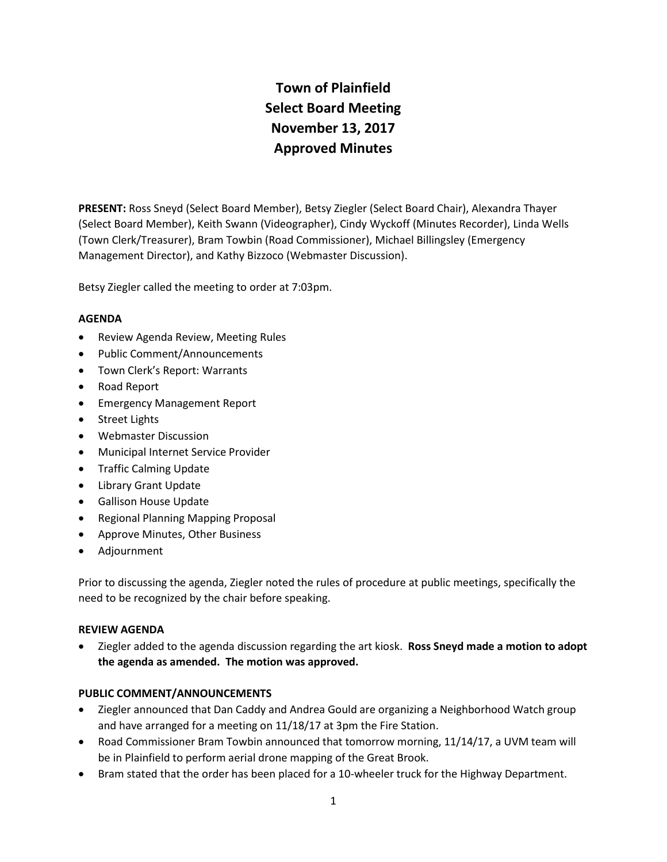# **Town of Plainfield Select Board Meeting November 13, 2017 Approved Minutes**

**PRESENT:** Ross Sneyd (Select Board Member), Betsy Ziegler (Select Board Chair), Alexandra Thayer (Select Board Member), Keith Swann (Videographer), Cindy Wyckoff (Minutes Recorder), Linda Wells (Town Clerk/Treasurer), Bram Towbin (Road Commissioner), Michael Billingsley (Emergency Management Director), and Kathy Bizzoco (Webmaster Discussion).

Betsy Ziegler called the meeting to order at 7:03pm.

# **AGENDA**

- Review Agenda Review, Meeting Rules
- Public Comment/Announcements
- Town Clerk's Report: Warrants
- Road Report
- **•** Emergency Management Report
- Street Lights
- Webmaster Discussion
- Municipal Internet Service Provider
- Traffic Calming Update
- Library Grant Update
- Gallison House Update
- Regional Planning Mapping Proposal
- Approve Minutes, Other Business
- Adjournment

Prior to discussing the agenda, Ziegler noted the rules of procedure at public meetings, specifically the need to be recognized by the chair before speaking.

# **REVIEW AGENDA**

 Ziegler added to the agenda discussion regarding the art kiosk. **Ross Sneyd made a motion to adopt the agenda as amended. The motion was approved.**

# **PUBLIC COMMENT/ANNOUNCEMENTS**

- Ziegler announced that Dan Caddy and Andrea Gould are organizing a Neighborhood Watch group and have arranged for a meeting on 11/18/17 at 3pm the Fire Station.
- Road Commissioner Bram Towbin announced that tomorrow morning, 11/14/17, a UVM team will be in Plainfield to perform aerial drone mapping of the Great Brook.
- Bram stated that the order has been placed for a 10-wheeler truck for the Highway Department.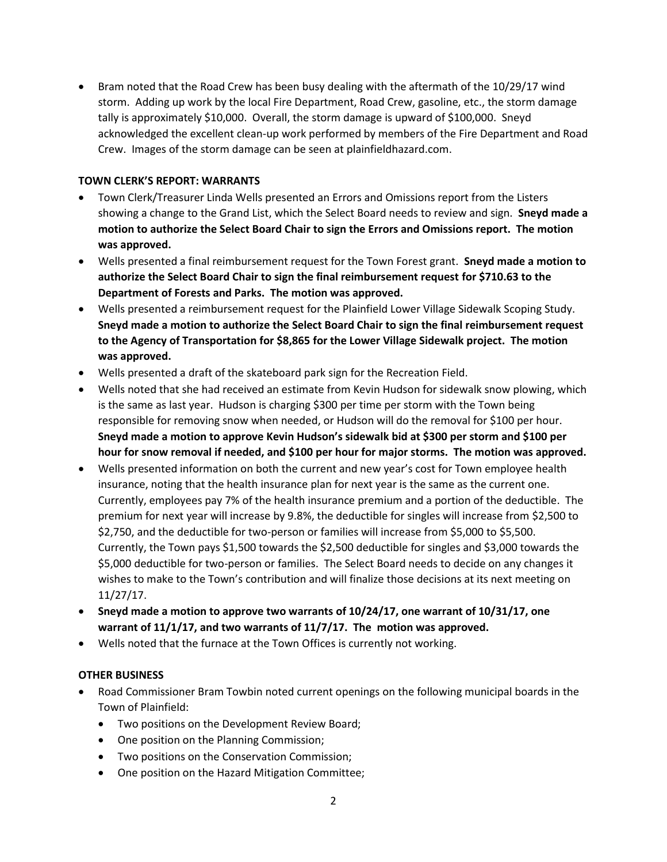• Bram noted that the Road Crew has been busy dealing with the aftermath of the 10/29/17 wind storm. Adding up work by the local Fire Department, Road Crew, gasoline, etc., the storm damage tally is approximately \$10,000. Overall, the storm damage is upward of \$100,000. Sneyd acknowledged the excellent clean-up work performed by members of the Fire Department and Road Crew. Images of the storm damage can be seen at plainfieldhazard.com.

# **TOWN CLERK'S REPORT: WARRANTS**

- Town Clerk/Treasurer Linda Wells presented an Errors and Omissions report from the Listers showing a change to the Grand List, which the Select Board needs to review and sign. **Sneyd made a motion to authorize the Select Board Chair to sign the Errors and Omissions report. The motion was approved.**
- Wells presented a final reimbursement request for the Town Forest grant. **Sneyd made a motion to authorize the Select Board Chair to sign the final reimbursement request for \$710.63 to the Department of Forests and Parks. The motion was approved.**
- Wells presented a reimbursement request for the Plainfield Lower Village Sidewalk Scoping Study. **Sneyd made a motion to authorize the Select Board Chair to sign the final reimbursement request to the Agency of Transportation for \$8,865 for the Lower Village Sidewalk project. The motion was approved.**
- Wells presented a draft of the skateboard park sign for the Recreation Field.
- Wells noted that she had received an estimate from Kevin Hudson for sidewalk snow plowing, which is the same as last year. Hudson is charging \$300 per time per storm with the Town being responsible for removing snow when needed, or Hudson will do the removal for \$100 per hour. **Sneyd made a motion to approve Kevin Hudson's sidewalk bid at \$300 per storm and \$100 per hour for snow removal if needed, and \$100 per hour for major storms. The motion was approved.**
- Wells presented information on both the current and new year's cost for Town employee health insurance, noting that the health insurance plan for next year is the same as the current one. Currently, employees pay 7% of the health insurance premium and a portion of the deductible. The premium for next year will increase by 9.8%, the deductible for singles will increase from \$2,500 to \$2,750, and the deductible for two-person or families will increase from \$5,000 to \$5,500. Currently, the Town pays \$1,500 towards the \$2,500 deductible for singles and \$3,000 towards the \$5,000 deductible for two-person or families. The Select Board needs to decide on any changes it wishes to make to the Town's contribution and will finalize those decisions at its next meeting on 11/27/17.
- **Sneyd made a motion to approve two warrants of 10/24/17, one warrant of 10/31/17, one warrant of 11/1/17, and two warrants of 11/7/17. The motion was approved.**
- Wells noted that the furnace at the Town Offices is currently not working.

# **OTHER BUSINESS**

- Road Commissioner Bram Towbin noted current openings on the following municipal boards in the Town of Plainfield:
	- Two positions on the Development Review Board;
	- One position on the Planning Commission;
	- Two positions on the Conservation Commission;
	- One position on the Hazard Mitigation Committee;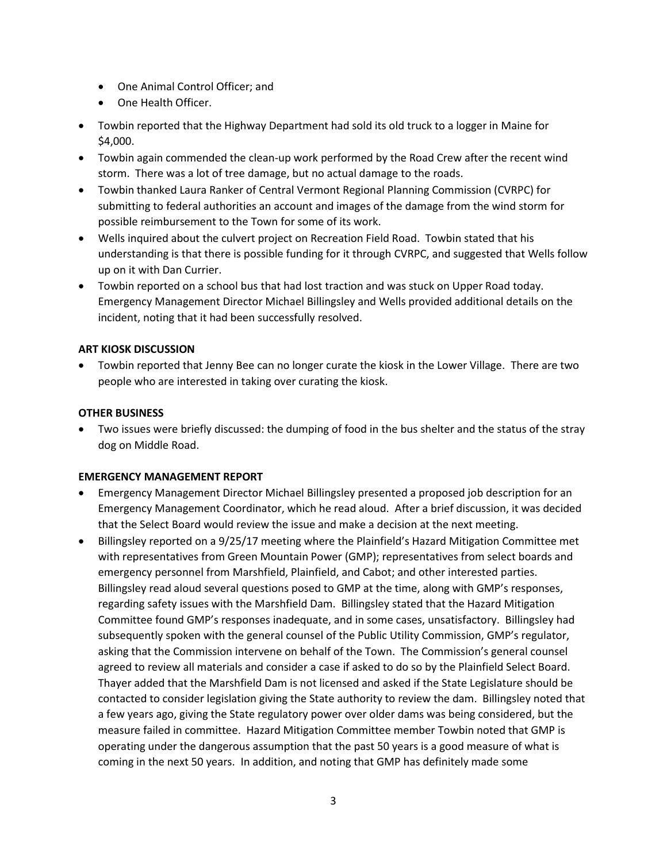- One Animal Control Officer; and
- One Health Officer.
- Towbin reported that the Highway Department had sold its old truck to a logger in Maine for \$4,000.
- Towbin again commended the clean-up work performed by the Road Crew after the recent wind storm. There was a lot of tree damage, but no actual damage to the roads.
- Towbin thanked Laura Ranker of Central Vermont Regional Planning Commission (CVRPC) for submitting to federal authorities an account and images of the damage from the wind storm for possible reimbursement to the Town for some of its work.
- Wells inquired about the culvert project on Recreation Field Road. Towbin stated that his understanding is that there is possible funding for it through CVRPC, and suggested that Wells follow up on it with Dan Currier.
- Towbin reported on a school bus that had lost traction and was stuck on Upper Road today. Emergency Management Director Michael Billingsley and Wells provided additional details on the incident, noting that it had been successfully resolved.

# **ART KIOSK DISCUSSION**

 Towbin reported that Jenny Bee can no longer curate the kiosk in the Lower Village. There are two people who are interested in taking over curating the kiosk.

# **OTHER BUSINESS**

 Two issues were briefly discussed: the dumping of food in the bus shelter and the status of the stray dog on Middle Road.

# **EMERGENCY MANAGEMENT REPORT**

- Emergency Management Director Michael Billingsley presented a proposed job description for an Emergency Management Coordinator, which he read aloud. After a brief discussion, it was decided that the Select Board would review the issue and make a decision at the next meeting.
- Billingsley reported on a 9/25/17 meeting where the Plainfield's Hazard Mitigation Committee met with representatives from Green Mountain Power (GMP); representatives from select boards and emergency personnel from Marshfield, Plainfield, and Cabot; and other interested parties. Billingsley read aloud several questions posed to GMP at the time, along with GMP's responses, regarding safety issues with the Marshfield Dam. Billingsley stated that the Hazard Mitigation Committee found GMP's responses inadequate, and in some cases, unsatisfactory. Billingsley had subsequently spoken with the general counsel of the Public Utility Commission, GMP's regulator, asking that the Commission intervene on behalf of the Town. The Commission's general counsel agreed to review all materials and consider a case if asked to do so by the Plainfield Select Board. Thayer added that the Marshfield Dam is not licensed and asked if the State Legislature should be contacted to consider legislation giving the State authority to review the dam. Billingsley noted that a few years ago, giving the State regulatory power over older dams was being considered, but the measure failed in committee. Hazard Mitigation Committee member Towbin noted that GMP is operating under the dangerous assumption that the past 50 years is a good measure of what is coming in the next 50 years. In addition, and noting that GMP has definitely made some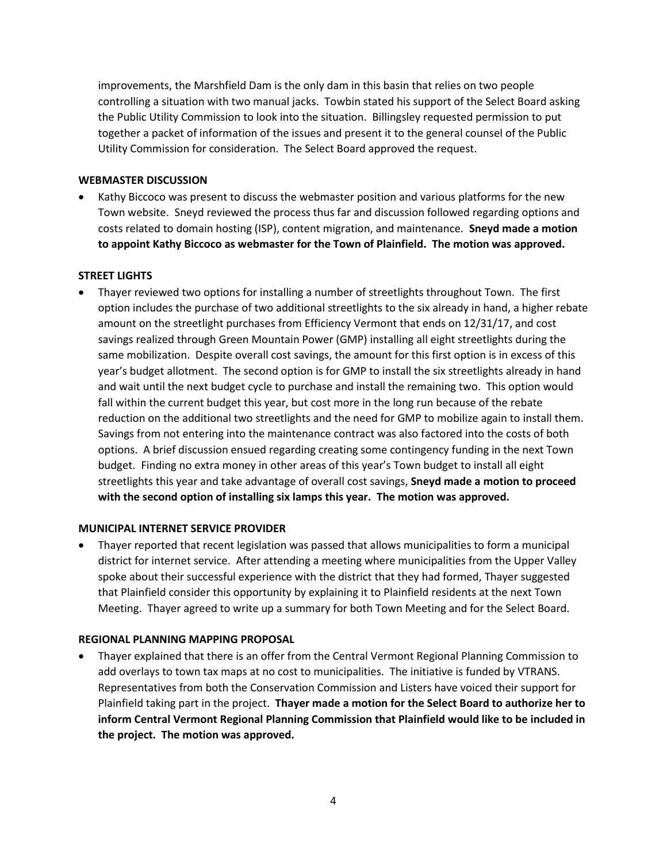improvements, the Marshfield Dam is the only dam in this basin that relies on two people controlling a situation with two manual jacks. Towbin stated his support of the Select Board asking the Public Utility Commission to look into the situation. Billingsley requested permission to put together a packet of information of the issues and present it to the general counsel of the Public Utility Commission for consideration. The Select Board approved the request.

#### **WEBMASTER DISCUSSION**

 Kathy Biccoco was present to discuss the webmaster position and various platforms for the new Town website. Sneyd reviewed the process thus far and discussion followed regarding options and costs related to domain hosting (ISP), content migration, and maintenance. **Sneyd made a motion to appoint Kathy Biccoco as webmaster for the Town of Plainfield. The motion was approved.** 

#### **STREET LIGHTS**

 Thayer reviewed two options for installing a number of streetlights throughout Town. The first option includes the purchase of two additional streetlights to the six already in hand, a higher rebate amount on the streetlight purchases from Efficiency Vermont that ends on 12/31/17, and cost savings realized through Green Mountain Power (GMP) installing all eight streetlights during the same mobilization. Despite overall cost savings, the amount for this first option is in excess of this year's budget allotment. The second option is for GMP to install the six streetlights already in hand and wait until the next budget cycle to purchase and install the remaining two. This option would fall within the current budget this year, but cost more in the long run because of the rebate reduction on the additional two streetlights and the need for GMP to mobilize again to install them. Savings from not entering into the maintenance contract was also factored into the costs of both options. A brief discussion ensued regarding creating some contingency funding in the next Town budget. Finding no extra money in other areas of this year's Town budget to install all eight streetlights this year and take advantage of overall cost savings, **Sneyd made a motion to proceed with the second option of installing six lamps this year. The motion was approved.**

# **MUNICIPAL INTERNET SERVICE PROVIDER**

 Thayer reported that recent legislation was passed that allows municipalities to form a municipal district for internet service. After attending a meeting where municipalities from the Upper Valley spoke about their successful experience with the district that they had formed, Thayer suggested that Plainfield consider this opportunity by explaining it to Plainfield residents at the next Town Meeting. Thayer agreed to write up a summary for both Town Meeting and for the Select Board.

#### **REGIONAL PLANNING MAPPING PROPOSAL**

 Thayer explained that there is an offer from the Central Vermont Regional Planning Commission to add overlays to town tax maps at no cost to municipalities. The initiative is funded by VTRANS. Representatives from both the Conservation Commission and Listers have voiced their support for Plainfield taking part in the project. **Thayer made a motion for the Select Board to authorize her to inform Central Vermont Regional Planning Commission that Plainfield would like to be included in the project. The motion was approved.**